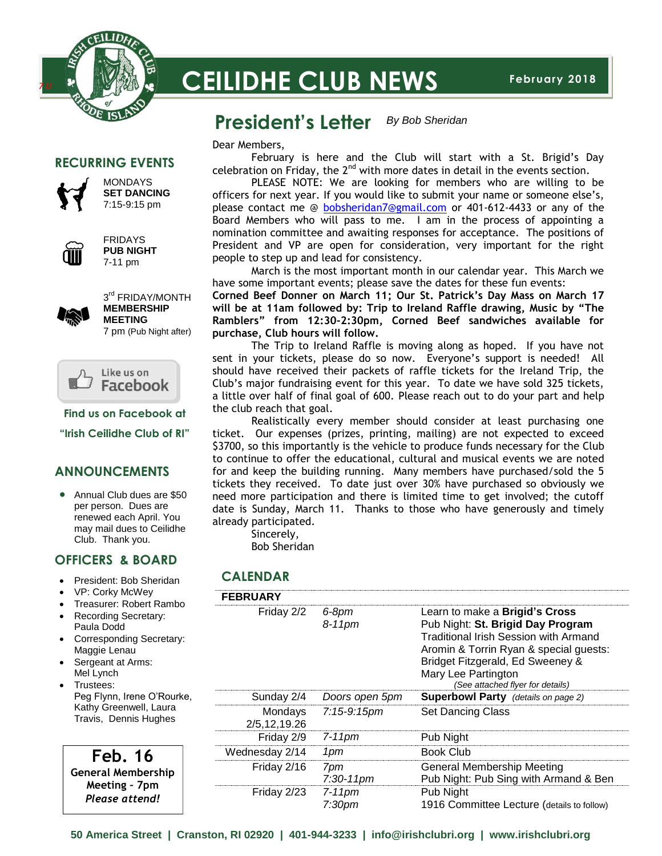

# **CEILIDHE CLUB NEWS**

#### **President's Letter** *By Bob Sheridan*

**RECURRING EVENTS**



MONDAYS **SET DANCING** 7:15-9:15 pm



FRIDAYS **PUB NIGHT** 7-11 pm



3<sup>rd</sup> FRIDAY/MONTH **MEMBERSHIP MEETING** 7 pm (Pub Night after)



**Find us on Facebook at**

**"Irish Ceilidhe Club of RI"**

#### **ANNOUNCEMENTS**

• Annual Club dues are \$50 per person. Dues are renewed each April. You may mail dues to Ceilidhe Club. Thank you.

#### **OFFICERS & BOARD**

- President: Bob Sheridan
- VP: Corky McWey
- Treasurer: Robert Rambe
- Recording Secretary: Paula Dodd
- Corresponding Secretary: Maggie Lenau
- Sergeant at Arms: Mel Lynch
- Trustees: Peg Flynn, Irene O'Rourl Kathy Greenwell, Laura Travis, Dennis Hughes

 **Feb. 16 General Membership Meeting – 7pm** *Please attend!*

Dear Members,

February is here and the Club will start with a St. Brigid's Day celebration on Friday, the  $2^{nd}$  with more dates in detail in the events section.

PLEASE NOTE: We are looking for members who are willing to be officers for next year. If you would like to submit your name or someone else's, please contact me @ [bobsheridan7@gmail.com](mailto:bobsheridan7@gmail.com) or 401-612-4433 or any of the Board Members who will pass to me. I am in the process of appointing a nomination committee and awaiting responses for acceptance. The positions of President and VP are open for consideration, very important for the right people to step up and lead for consistency.

March is the most important month in our calendar year. This March we have some important events; please save the dates for these fun events:

**Corned Beef Donner on March 11; Our St. Patrick's Day Mass on March 17 will be at 11am followed by: Trip to Ireland Raffle drawing, Music by "The Ramblers" from 12:30-2:30pm, Corned Beef sandwiches available for purchase, Club hours will follow.**

The Trip to Ireland Raffle is moving along as hoped. If you have not sent in your tickets, please do so now. Everyone's support is needed! All should have received their packets of raffle tickets for the Ireland Trip, the Club's major fundraising event for this year. To date we have sold 325 tickets, a little over half of final goal of 600. Please reach out to do your part and help the club reach that goal.

Realistically every member should consider at least purchasing one ticket. Our expenses (prizes, printing, mailing) are not expected to exceed \$3700, so this importantly is the vehicle to produce funds necessary for the Club to continue to offer the educational, cultural and musical events we are noted for and keep the building running. Many members have purchased/sold the 5 tickets they received. To date just over 30% have purchased so obviously we need more participation and there is limited time to get involved; the cutoff date is Sunday, March 11. Thanks to those who have generously and timely already participated.

Sincerely,

Bob Sheridan

### **CALENDAR**

| <b>FEBRUARY</b>         |                                 |                                                                                                                                                                                                                                                       |
|-------------------------|---------------------------------|-------------------------------------------------------------------------------------------------------------------------------------------------------------------------------------------------------------------------------------------------------|
| Friday 2/2              | 6-8pm<br>$8-11$ pm              | Learn to make a Brigid's Cross<br>Pub Night: St. Brigid Day Program<br>Traditional Irish Session with Armand<br>Aromin & Torrin Ryan & special guests:<br>Bridget Fitzgerald, Ed Sweeney &<br>Mary Lee Partington<br>(See attached flyer for details) |
| Sunday 2/4              | Doors open 5pm                  | <b>Superbowl Party</b> (details on page 2)                                                                                                                                                                                                            |
| Mondays<br>2/5,12,19.26 | 7:15-9:15pm                     | <b>Set Dancing Class</b>                                                                                                                                                                                                                              |
| Friday 2/9              | 7-11pm                          | Pub Night                                                                                                                                                                                                                                             |
| Wednesday 2/14          | 1pm                             | <b>Book Club</b>                                                                                                                                                                                                                                      |
| Friday 2/16             | 7pm<br>$7:30-11$ pm             | General Membership Meeting<br>Pub Night: Pub Sing with Armand & Ben                                                                                                                                                                                   |
| Friday 2/23             | $7-11$ pm<br>7:30 <sub>pm</sub> | Pub Night<br>1916 Committee Lecture (details to follow)                                                                                                                                                                                               |

**50 America Street | Cranston, RI 02920 | 401-944-3233 | info@irishclubri.org | www.irishclubri.org**